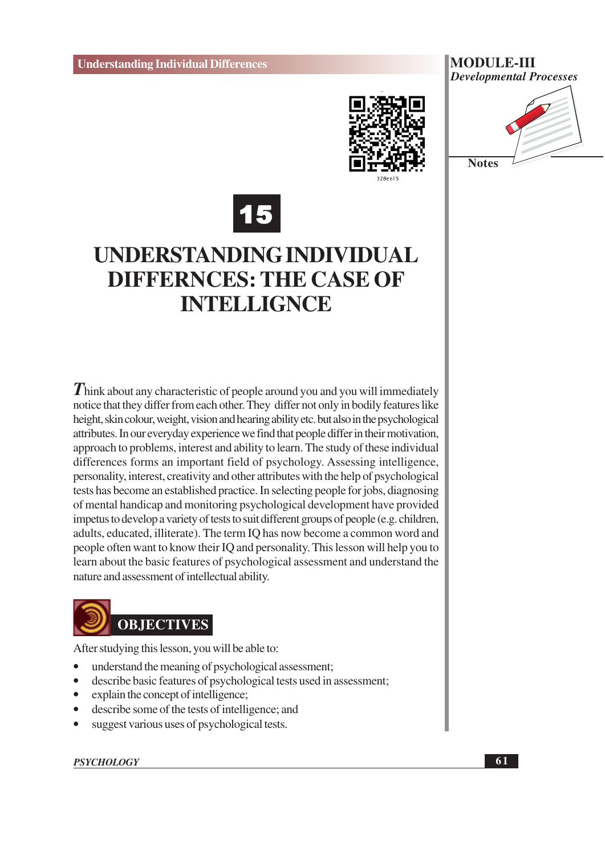





## UNDERSTANDING INDIVIDUAL **DIFFERNCES: THE CASE OF INTELLIGNCE**

Think about any characteristic of people around you and you will immediately notice that they differ from each other. They differ not only in bodily features like height, skin colour, weight, vision and hearing ability etc. but also in the psychological attributes. In our everyday experience we find that people differ in their motivation, approach to problems, interest and ability to learn. The study of these individual differences forms an important field of psychology. Assessing intelligence, personality, interest, creativity and other attributes with the help of psychological tests has become an established practice. In selecting people for jobs, diagnosing of mental handicap and monitoring psychological development have provided impetus to develop a variety of tests to suit different groups of people (e.g. children, adults, educated, illiterate). The term IQ has now become a common word and people often want to know their IQ and personality. This lesson will help you to learn about the basic features of psychological assessment and understand the nature and assessment of intellectual ability.



After studying this lesson, you will be able to:

- understand the meaning of psychological assessment;
- $\bullet$ describe basic features of psychological tests used in assessment;
- explain the concept of intelligence;  $\bullet$
- describe some of the tests of intelligence; and  $\bullet$
- suggest various uses of psychological tests.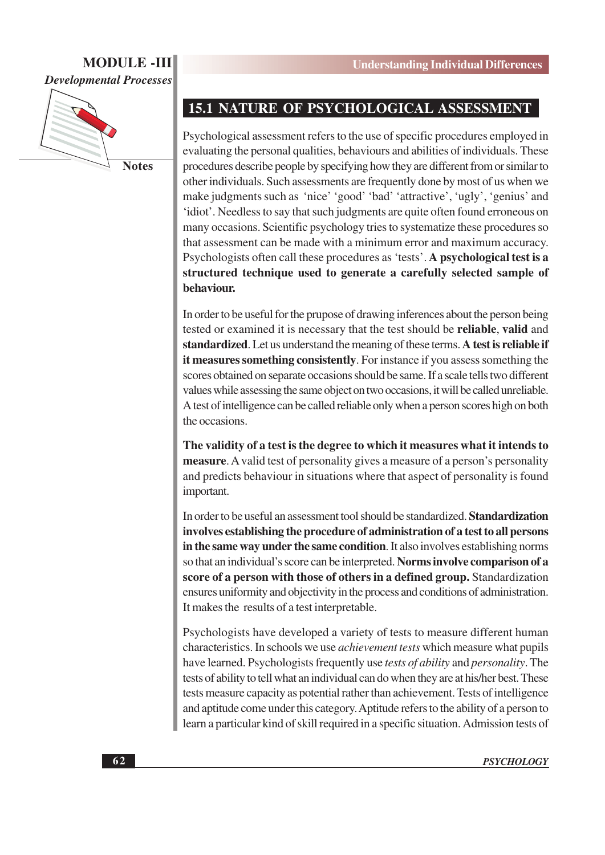## **MODULE-III**

**Developmental Processes** 



## **15.1 NATURE OF PSYCHOLOGICAL ASSESSMENT**

Psychological assessment refers to the use of specific procedures employed in evaluating the personal qualities, behaviours and abilities of individuals. These procedures describe people by specifying how they are different from or similar to other individuals. Such assessments are frequently done by most of us when we make judgments such as 'nice' 'good' 'bad' 'attractive', 'ugly', 'genius' and 'idiot'. Needless to say that such judgments are quite often found erroneous on many occasions. Scientific psychology tries to systematize these procedures so that assessment can be made with a minimum error and maximum accuracy. Psychologists often call these procedures as 'tests'. A psychological test is a structured technique used to generate a carefully selected sample of behaviour.

In order to be useful for the prupose of drawing inferences about the person being tested or examined it is necessary that the test should be **reliable**, valid and standardized. Let us understand the meaning of these terms. A test is reliable if it measures something consistently. For instance if you assess something the scores obtained on separate occasions should be same. If a scale tells two different values while assessing the same object on two occasions, it will be called unreliable. A test of intelligence can be called reliable only when a person scores high on both the occasions.

The validity of a test is the degree to which it measures what it intends to **measure.** A valid test of personality gives a measure of a person's personality and predicts behaviour in situations where that aspect of personality is found important.

In order to be useful an assessment tool should be standardized. Standardization involves establishing the procedure of administration of a test to all persons in the same way under the same condition. It also involves establishing norms so that an individual's score can be interpreted. Norms involve comparison of a score of a person with those of others in a defined group. Standardization ensures uniformity and objectivity in the process and conditions of administration. It makes the results of a test interpretable.

Psychologists have developed a variety of tests to measure different human characteristics. In schools we use *achievement tests* which measure what pupils have learned. Psychologists frequently use *tests of ability* and *personality*. The tests of ability to tell what an individual can do when they are at his/her best. These tests measure capacity as potential rather than achievement. Tests of intelligence and aptitude come under this category. Aptitude refers to the ability of a person to learn a particular kind of skill required in a specific situation. Admission tests of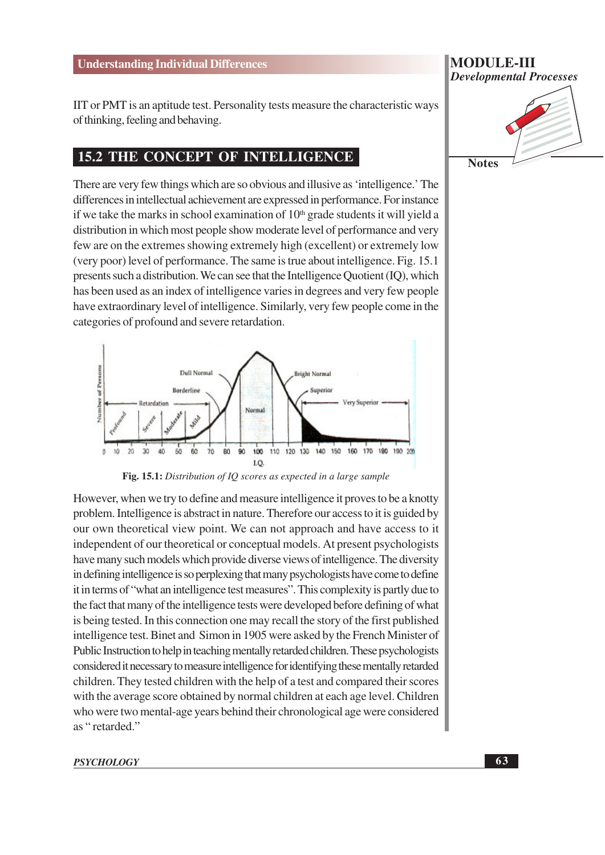IIT or PMT is an aptitude test. Personality tests measure the characteristic ways of thinking, feeling and behaving.

### **15.2 THE CONCEPT OF INTELLIGENCE**

There are very few things which are so obvious and illusive as 'intelligence.' The differences in intellectual achievement are expressed in performance. For instance if we take the marks in school examination of  $10<sup>th</sup>$  grade students it will yield a distribution in which most people show moderate level of performance and very few are on the extremes showing extremely high (excellent) or extremely low (very poor) level of performance. The same is true about intelligence. Fig. 15.1 presents such a distribution. We can see that the Intelligence Quotient (IQ), which has been used as an index of intelligence varies in degrees and very few people have extraordinary level of intelligence. Similarly, very few people come in the categories of profound and severe retardation.



Fig. 15.1: Distribution of IQ scores as expected in a large sample

However, when we try to define and measure intelligence it proves to be a knotty problem. Intelligence is abstract in nature. Therefore our access to it is guided by our own theoretical view point. We can not approach and have access to it independent of our theoretical or conceptual models. At present psychologists have many such models which provide diverse views of intelligence. The diversity in defining intelligence is so perplexing that many psychologists have come to define it in terms of "what an intelligence test measures". This complexity is partly due to the fact that many of the intelligence tests were developed before defining of what is being tested. In this connection one may recall the story of the first published intelligence test. Binet and Simon in 1905 were asked by the French Minister of Public Instruction to help in teaching mentally retarded children. These psychologists considered it necessary to measure intelligence for identifying these mentally retarded children. They tested children with the help of a test and compared their scores with the average score obtained by normal children at each age level. Children who were two mental-age years behind their chronological age were considered as "retarded."

#### **PSYCHOLOGY**



**Notes**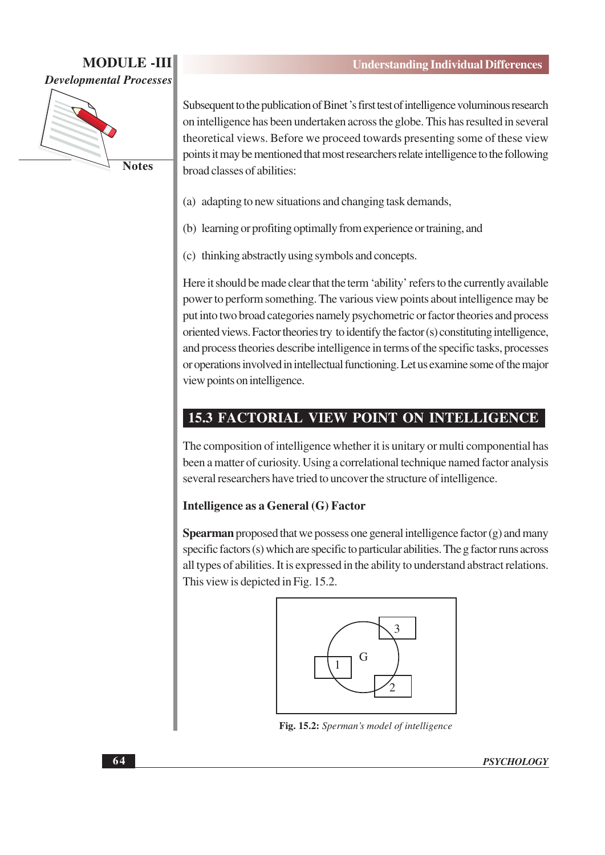

Subsequent to the publication of Binet's first test of intelligence voluminous research on intelligence has been undertaken across the globe. This has resulted in several theoretical views. Before we proceed towards presenting some of these view points it may be mentioned that most researchers relate intelligence to the following broad classes of abilities:

- (a) adapting to new situations and changing task demands,
- (b) learning or profiting optimally from experience or training, and
- (c) thinking abstractly using symbols and concepts.

Here it should be made clear that the term 'ability' refers to the currently available power to perform something. The various view points about intelligence may be put into two broad categories namely psychometric or factor theories and process oriented views. Factor theories try to identify the factor (s) constituting intelligence, and process theories describe intelligence in terms of the specific tasks, processes or operations involved in intellectual functioning. Let us examine some of the major view points on intelligence.

## **15.3 FACTORIAL VIEW POINT ON INTELLIGENCE**

The composition of intelligence whether it is unitary or multi componential has been a matter of curiosity. Using a correlational technique named factor analysis several researchers have tried to uncover the structure of intelligence.

#### Intelligence as a General (G) Factor

**Spearman** proposed that we possess one general intelligence factor  $(g)$  and many specific factors (s) which are specific to particular abilities. The g factor runs across all types of abilities. It is expressed in the ability to understand abstract relations. This view is depicted in Fig. 15.2.



Fig. 15.2: Sperman's model of intelligence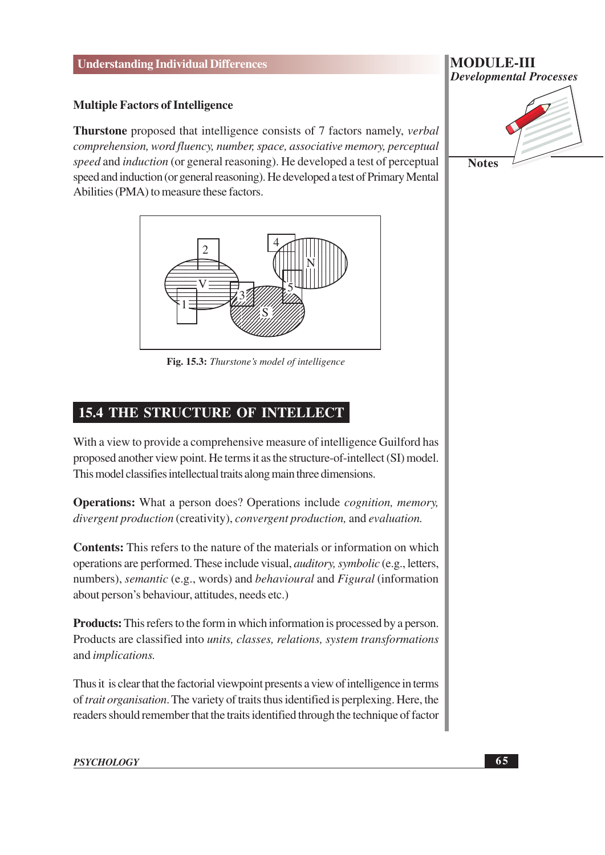#### **Multiple Factors of Intelligence**

**Thurstone** proposed that intelligence consists of 7 factors namely, *verbal* comprehension, word fluency, number, space, associative memory, perceptual speed and induction (or general reasoning). He developed a test of perceptual speed and induction (or general reasoning). He developed a test of Primary Mental Abilities (PMA) to measure these factors.



Fig. 15.3: Thurstone's model of intelligence

## 15.4 THE STRUCTURE OF INTELLECT

With a view to provide a comprehensive measure of intelligence Guilford has proposed another view point. He terms it as the structure-of-intellect (SI) model. This model classifies intellectual traits along main three dimensions.

**Operations:** What a person does? Operations include *cognition*, *memory*, divergent production (creativity), convergent production, and evaluation.

**Contents:** This refers to the nature of the materials or information on which operations are performed. These include visual, *auditory*, *symbolic* (e.g., letters, numbers), *semantic* (e.g., words) and *behavioural* and *Figural* (information about person's behaviour, attitudes, needs etc.)

**Products:** This refers to the form in which information is processed by a person. Products are classified into *units*, *classes*, *relations*, *system transformations* and *implications*.

Thus it is clear that the factorial viewpoint presents a view of intelligence in terms of trait organisation. The variety of traits thus identified is perplexing. Here, the readers should remember that the traits identified through the technique of factor

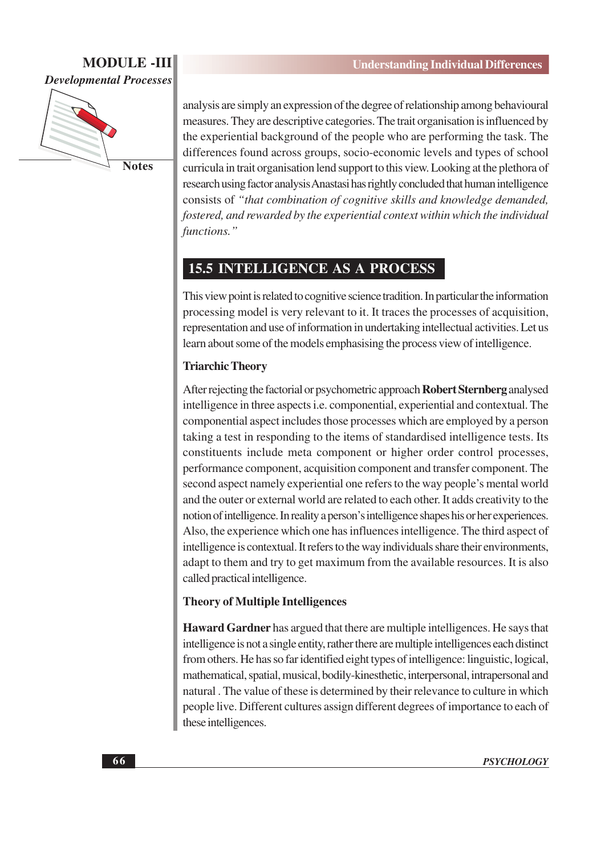

analysis are simply an expression of the degree of relationship among behavioural measures. They are descriptive categories. The trait organisation is influenced by the experiential background of the people who are performing the task. The differences found across groups, socio-economic levels and types of school curricula in trait organisation lend support to this view. Looking at the plethora of research using factor analysis Anastasi has rightly concluded that human intelligence consists of "that combination of cognitive skills and knowledge demanded, fostered, and rewarded by the experiential context within which the individual functions."

## **15.5 INTELLIGENCE AS A PROCESS**

This view point is related to cognitive science tradition. In particular the information processing model is very relevant to it. It traces the processes of acquisition, representation and use of information in undertaking intellectual activities. Let us learn about some of the models emphasising the process view of intelligence.

## **Triarchic Theory**

After rejecting the factorial or psychometric approach Robert Sternberg analysed intelligence in three aspects *i.e.* componential, experiential and contextual. The componential aspect includes those processes which are employed by a person taking a test in responding to the items of standardised intelligence tests. Its constituents include meta component or higher order control processes. performance component, acquisition component and transfer component. The second aspect namely experiential one refers to the way people's mental world and the outer or external world are related to each other. It adds creativity to the notion of intelligence. In reality a person's intelligence shapes his or her experiences. Also, the experience which one has influences intelligence. The third aspect of intelligence is contextual. It refers to the way individuals share their environments, adapt to them and try to get maximum from the available resources. It is also called practical intelligence.

## **Theory of Multiple Intelligences**

**Haward Gardner** has argued that there are multiple intelligences. He says that intelligence is not a single entity, rather there are multiple intelligences each distinct from others. He has so far identified eight types of intelligence: linguistic, logical, mathematical, spatial, musical, bodily-kinesthetic, interpersonal, intrapersonal and natural. The value of these is determined by their relevance to culture in which people live. Different cultures assign different degrees of importance to each of these intelligences.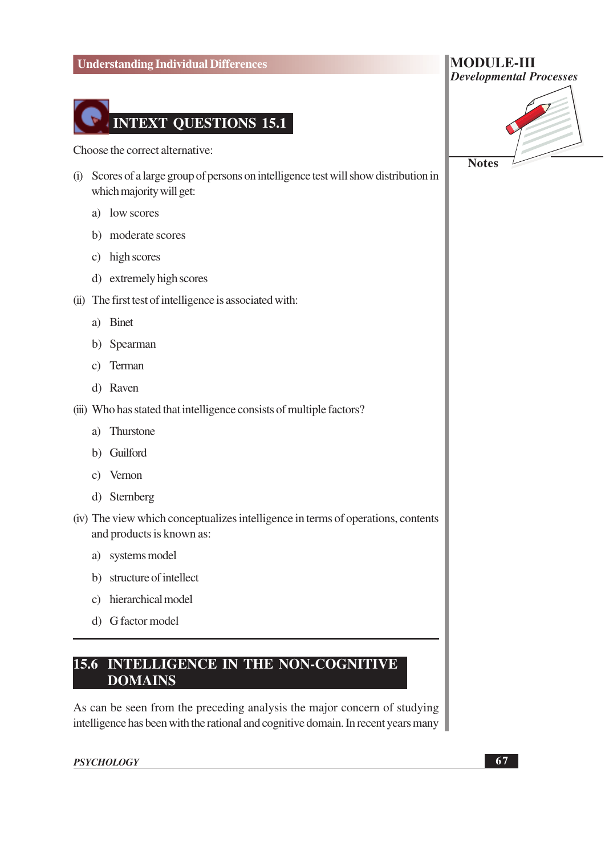

Choose the correct alternative:

- (i) Scores of a large group of persons on intelligence test will show distribution in which majority will get:
	- a) low scores
	- b) moderate scores
	- c) high scores
	- d) extremely high scores
- (ii) The first test of intelligence is associated with:
	- a) Binet
	- b) Spearman
	- c) Terman
	- d) Raven
- (iii) Who has stated that intelligence consists of multiple factors?
	- a) Thurstone
	- b) Guilford
	- c) Vernon
	- d) Sternberg

(iv) The view which conceptualizes intelligence in terms of operations, contents and products is known as:

- a) systems model
- b) structure of intellect
- c) hierarchical model
- d) G factor model

## **15.6 INTELLIGENCE IN THE NON-COGNITIVE DOMAINS**

As can be seen from the preceding analysis the major concern of studying intelligence has been with the rational and cognitive domain. In recent years many

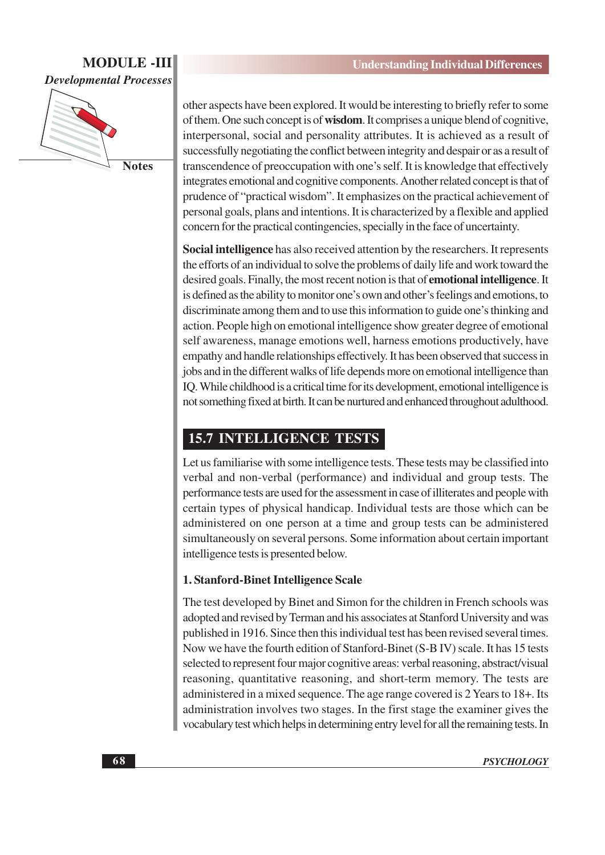

other aspects have been explored. It would be interesting to briefly refer to some of them. One such concept is of **wisdom**. It comprises a unique blend of cognitive, interpersonal, social and personality attributes. It is achieved as a result of successfully negotiating the conflict between integrity and despair or as a result of transcendence of preoccupation with one's self. It is knowledge that effectively integrates emotional and cognitive components. Another related concept is that of prudence of "practical wisdom". It emphasizes on the practical achievement of personal goals, plans and intentions. It is characterized by a flexible and applied concern for the practical contingencies, specially in the face of uncertainty.

Social intelligence has also received attention by the researchers. It represents the efforts of an individual to solve the problems of daily life and work toward the desired goals. Finally, the most recent notion is that of **emotional intelligence**. It is defined as the ability to monitor one's own and other's feelings and emotions, to discriminate among them and to use this information to guide one's thinking and action. People high on emotional intelligence show greater degree of emotional self awareness, manage emotions well, harness emotions productively, have empathy and handle relationships effectively. It has been observed that success in jobs and in the different walks of life depends more on emotional intelligence than IO. While childhood is a critical time for its development, emotional intelligence is not something fixed at birth. It can be nurtured and enhanced throughout adulthood.

## **15.7 INTELLIGENCE TESTS**

Let us familiarise with some intelligence tests. These tests may be classified into verbal and non-verbal (performance) and individual and group tests. The performance tests are used for the assessment in case of illiterates and people with certain types of physical handicap. Individual tests are those which can be administered on one person at a time and group tests can be administered simultaneously on several persons. Some information about certain important intelligence tests is presented below.

## 1. Stanford-Binet Intelligence Scale

The test developed by Binet and Simon for the children in French schools was adopted and revised by Terman and his associates at Stanford University and was published in 1916. Since then this individual test has been revised several times. Now we have the fourth edition of Stanford-Binet (S-B IV) scale. It has 15 tests selected to represent four major cognitive areas: verbal reasoning, abstract/visual reasoning, quantitative reasoning, and short-term memory. The tests are administered in a mixed sequence. The age range covered is 2 Years to 18+. Its administration involves two stages. In the first stage the examiner gives the vocabulary test which helps in determining entry level for all the remaining tests. In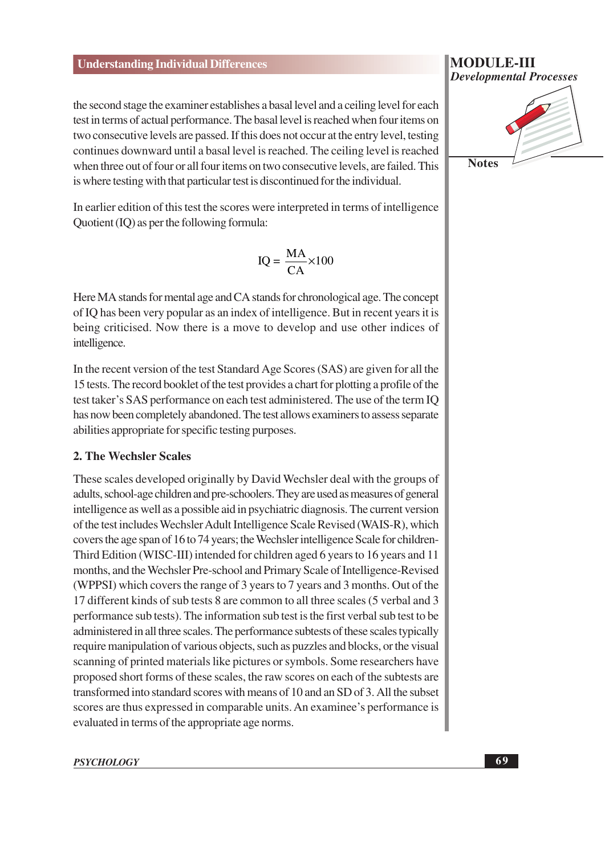the second stage the examiner establishes a basal level and a ceiling level for each test in terms of actual performance. The basal level is reached when four items on two consecutive levels are passed. If this does not occur at the entry level, testing continues downward until a basal level is reached. The ceiling level is reached when three out of four or all four items on two consecutive levels, are failed. This is where testing with that particular test is discontinued for the individual.

In earlier edition of this test the scores were interpreted in terms of intelligence Quotient (IQ) as per the following formula:

$$
IQ = \frac{MA}{CA} \times 100
$$

Here MA stands for mental age and CA stands for chronological age. The concept of IQ has been very popular as an index of intelligence. But in recent years it is being criticised. Now there is a move to develop and use other indices of intelligence.

In the recent version of the test Standard Age Scores (SAS) are given for all the 15 tests. The record booklet of the test provides a chart for plotting a profile of the test taker's SAS performance on each test administered. The use of the term IO has now been completely abandoned. The test allows examiners to assess separate abilities appropriate for specific testing purposes.

#### 2. The Wechsler Scales

These scales developed originally by David Wechsler deal with the groups of adults, school-age children and pre-schoolers. They are used as measures of general intelligence as well as a possible aid in psychiatric diagnosis. The current version of the test includes Wechsler Adult Intelligence Scale Revised (WAIS-R), which covers the age span of 16 to 74 years; the Wechsler intelligence Scale for children-Third Edition (WISC-III) intended for children aged 6 years to 16 years and 11 months, and the Wechsler Pre-school and Primary Scale of Intelligence-Revised (WPPSI) which covers the range of 3 years to 7 years and 3 months. Out of the 17 different kinds of sub tests 8 are common to all three scales (5 verbal and 3 performance sub tests). The information sub test is the first verbal sub test to be administered in all three scales. The performance subtests of these scales typically require manipulation of various objects, such as puzzles and blocks, or the visual scanning of printed materials like pictures or symbols. Some researchers have proposed short forms of these scales, the raw scores on each of the subtests are transformed into standard scores with means of 10 and an SD of 3. All the subset scores are thus expressed in comparable units. An examinee's performance is evaluated in terms of the appropriate age norms.

#### **PSYCHOLOGY**

#### **MODULE-III Developmental Processes**

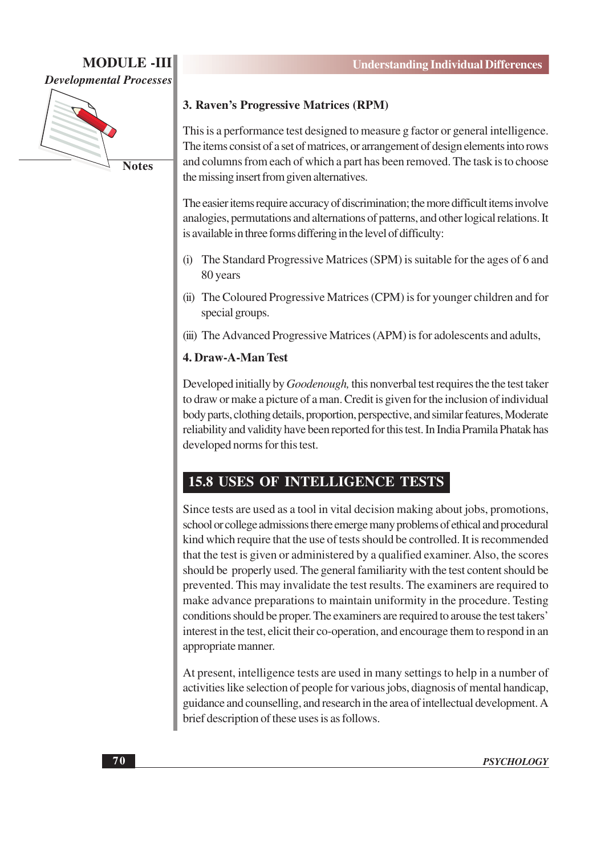

#### 3. Raven's Progressive Matrices (RPM)

This is a performance test designed to measure g factor or general intelligence. The items consist of a set of matrices, or arrangement of design elements into rows and columns from each of which a part has been removed. The task is to choose the missing insert from given alternatives.

The easier items require accuracy of discrimination; the more difficult items involve analogies, permutations and alternations of patterns, and other logical relations. It is available in three forms differing in the level of difficulty:

- The Standard Progressive Matrices (SPM) is suitable for the ages of 6 and 80 years
- (ii) The Coloured Progressive Matrices (CPM) is for younger children and for special groups.
- (iii) The Advanced Progressive Matrices (APM) is for adolescents and adults,

#### 4. Draw-A-Man Test

Developed initially by *Goodenough*, this nonverbal test requires the the test taker to draw or make a picture of a man. Credit is given for the inclusion of individual body parts, clothing details, proportion, perspective, and similar features, Moderate reliability and validity have been reported for this test. In India Pramila Phatak has developed norms for this test.

## **15.8 USES OF INTELLIGENCE TESTS**

Since tests are used as a tool in vital decision making about jobs, promotions, school or college admissions there emerge many problems of ethical and procedural kind which require that the use of tests should be controlled. It is recommended that the test is given or administered by a qualified examiner. Also, the scores should be properly used. The general familiarity with the test content should be prevented. This may invalidate the test results. The examiners are required to make advance preparations to maintain uniformity in the procedure. Testing conditions should be proper. The examiners are required to arouse the test takers' interest in the test, elicit their co-operation, and encourage them to respond in an appropriate manner.

At present, intelligence tests are used in many settings to help in a number of activities like selection of people for various jobs, diagnosis of mental handicap, guidance and counselling, and research in the area of intellectual development. A brief description of these uses is as follows.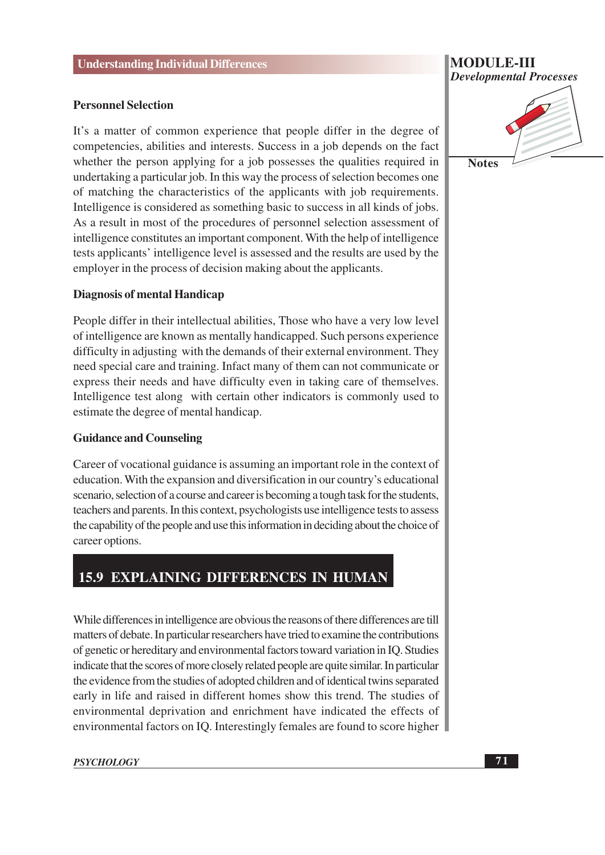#### **Personnel Selection**

It's a matter of common experience that people differ in the degree of competencies, abilities and interests. Success in a job depends on the fact whether the person applying for a job possesses the qualities required in undertaking a particular job. In this way the process of selection becomes one of matching the characteristics of the applicants with job requirements. Intelligence is considered as something basic to success in all kinds of jobs. As a result in most of the procedures of personnel selection assessment of intelligence constitutes an important component. With the help of intelligence tests applicants' intelligence level is assessed and the results are used by the employer in the process of decision making about the applicants.

#### **Diagnosis of mental Handicap**

People differ in their intellectual abilities, Those who have a very low level of intelligence are known as mentally handicapped. Such persons experience difficulty in adjusting with the demands of their external environment. They need special care and training. Infact many of them can not communicate or express their needs and have difficulty even in taking care of themselves. Intelligence test along with certain other indicators is commonly used to estimate the degree of mental handicap.

#### **Guidance and Counseling**

Career of vocational guidance is assuming an important role in the context of education. With the expansion and diversification in our country's educational scenario, selection of a course and career is becoming a tough task for the students. teachers and parents. In this context, psychologists use intelligence tests to assess the capability of the people and use this information in deciding about the choice of career options.

## **15.9 EXPLAINING DIFFERENCES IN HUMAN**

While differences in intelligence are obvious the reasons of there differences are till matters of debate. In particular researchers have tried to examine the contributions of genetic or hereditary and environmental factors toward variation in IO. Studies indicate that the scores of more closely related people are quite similar. In particular the evidence from the studies of adopted children and of identical twins separated early in life and raised in different homes show this trend. The studies of environmental deprivation and enrichment have indicated the effects of environmental factors on IQ. Interestingly females are found to score higher

# **MODULE-III Developmental Processes Notes**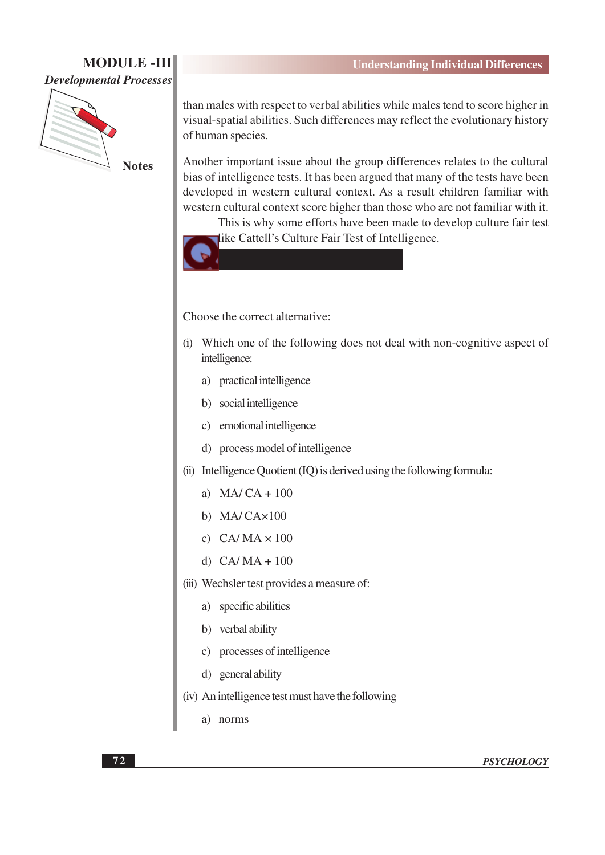

**Notes** 

than males with respect to verbal abilities while males tend to score higher in visual-spatial abilities. Such differences may reflect the evolutionary history of human species.

Another important issue about the group differences relates to the cultural bias of intelligence tests. It has been argued that many of the tests have been developed in western cultural context. As a result children familiar with western cultural context score higher than those who are not familiar with it.

This is why some efforts have been made to develop culture fair test like Cattell's Culture Fair Test of Intelligence.



Choose the correct alternative:

- (i) Which one of the following does not deal with non-cognitive aspect of intelligence:
	- a) practical intelligence
	- b) social intelligence
	- c) emotional intelligence
	- d) process model of intelligence
- (ii) Intelligence Quotient (IQ) is derived using the following formula:
	- a)  $MA/CA + 100$
	- b)  $MA/CAx100$
	- c)  $CA/MA \times 100$
	- d)  $CA/MA + 100$
- (iii) Wechsler test provides a measure of:
	- a) specific abilities
	- b) verbal ability
	- c) processes of intelligence
	- d) general ability
- (iv) An intelligence test must have the following
	- a) norms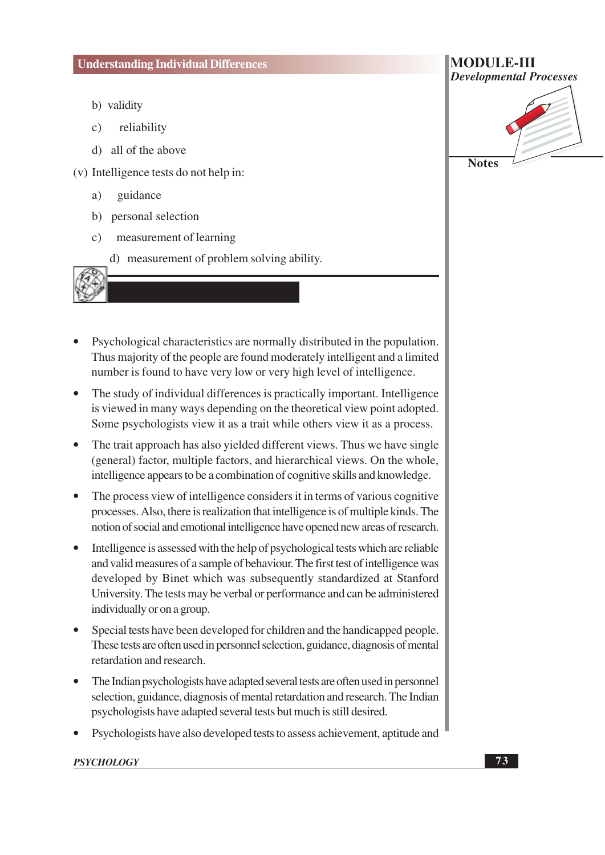- b) validity
- reliability  $\mathbf{c})$
- d) all of the above
- (v) Intelligence tests do not help in:
	- guidance a)
	- b) personal selection
	- $c)$ measurement of learning
		- d) measurement of problem solving ability.
- Psychological characteristics are normally distributed in the population. Thus majority of the people are found moderately intelligent and a limited number is found to have very low or very high level of intelligence.
- The study of individual differences is practically important. Intelligence is viewed in many ways depending on the theoretical view point adopted. Some psychologists view it as a trait while others view it as a process.
- The trait approach has also yielded different views. Thus we have single (general) factor, multiple factors, and hierarchical views. On the whole, intelligence appears to be a combination of cognitive skills and knowledge.
- The process view of intelligence considers it in terms of various cognitive  $\bullet$ processes. Also, there is realization that intelligence is of multiple kinds. The notion of social and emotional intelligence have opened new areas of research.
- Intelligence is assessed with the help of psychological tests which are reliable and valid measures of a sample of behaviour. The first test of intelligence was developed by Binet which was subsequently standardized at Stanford University. The tests may be verbal or performance and can be administered individually or on a group.
- Special tests have been developed for children and the handicapped people. These tests are often used in personnel selection, guidance, diagnosis of mental retardation and research.
- The Indian psychologists have adapted several tests are often used in personnel selection, guidance, diagnosis of mental retardation and research. The Indian psychologists have adapted several tests but much is still desired.
- Psychologists have also developed tests to assess achievement, aptitude and

# **MODULE-III Developmental Processes Notes**